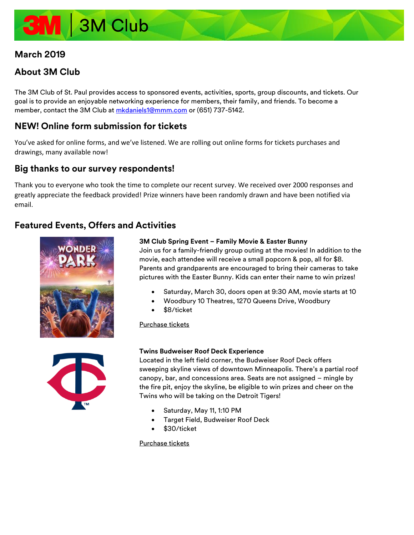# 3M Club

# **March 2019**

# **About 3M Club**

The 3M Club of St. Paul provides access to sponsored events, activities, sports, group discounts, and tickets. Our goal is to provide an enjoyable networking experience for members, their family, and friends. To become a member, contact the 3M Club at [mkdaniels1@mmm.com](mailto:mkdaniels1@mmm.com) or (651) 737-5142.

# **NEW! Online form submission for tickets**

You've asked for online forms, and we've listened. We are rolling out online forms for tickets purchases and drawings, many available now!

# **Big thanks to our survey respondents!**

Thank you to everyone who took the time to complete our recent survey. We received over 2000 responses and greatly appreciate the feedback provided! Prize winners have been randomly drawn and have been notified via email.

# **Featured Events, Offers and Activities**





# **3M Club Spring Event – Family Movie & Easter Bunny**

Join us for a family-friendly group outing at the movies! In addition to the movie, each attendee will receive a small popcorn & pop, all for \$8. Parents and grandparents are encouraged to bring their cameras to take pictures with the Easter Bunny. Kids can enter their name to win prizes!

- Saturday, March 30, doors open at 9:30 AM, movie starts at 10
- Woodbury 10 Theatres, 1270 Queens Drive, Woodbury
- \$8/ticket

# [Purchase](https://forms.office.com/Pages/ResponsePage.aspx?id=xMPK-qXiV0KvdiBcioId2xfPV-iTQi9EmSvDStt9q_VUN0UwMVVSTVZPRkNWWTBLSDFHRlFJUTlBOSQlQCN0PWcu) tickets

# **Twins Budweiser Roof Deck Experience**

Located in the left field corner, the Budweiser Roof Deck offers sweeping skyline views of downtown Minneapolis. There's a partial roof canopy, bar, and concessions area. Seats are not assigned – mingle by the fire pit, enjoy the skyline, be eligible to win prizes and cheer on the Twins who will be taking on the Detroit Tigers!

- Saturday, May 11, 1:10 PM
- Target Field, Budweiser Roof Deck
- \$30/ticket

# [Purchase tickets](https://forms.office.com/Pages/ResponsePage.aspx?id=xMPK-qXiV0KvdiBcioId2xfPV-iTQi9EmSvDStt9q_VUNUVEQVYxRjg1RVJYTzROM0ZaMzNZUDc4ViQlQCN0PWcu)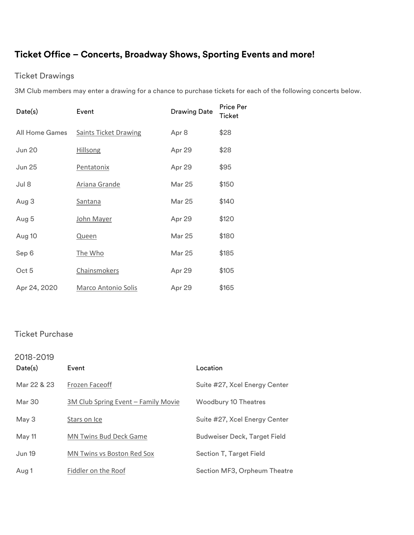# **Ticket Office – Concerts, Broadway Shows, Sporting Events and more!**

# Ticket Drawings

3M Club members may enter a drawing for a chance to purchase tickets for each of the following concerts below.

| Date(s)        | Event                        | <b>Drawing Date</b> | <b>Price Per</b><br>Ticket |
|----------------|------------------------------|---------------------|----------------------------|
| All Home Games | <b>Saints Ticket Drawing</b> | Apr 8               | \$28                       |
| <b>Jun 20</b>  | <b>Hillsong</b>              | Apr 29              | \$28                       |
| <b>Jun 25</b>  | Pentatonix                   | Apr 29              | \$95                       |
| Jul 8          | Ariana Grande                | Mar 25              | \$150                      |
| Aug 3          | <b>Santana</b>               | Mar 25              | \$140                      |
| Aug 5          | John Mayer                   | Apr 29              | \$120                      |
| Aug 10         | Queen                        | <b>Mar 25</b>       | \$180                      |
| Sep 6          | The Who                      | <b>Mar 25</b>       | \$185                      |
| Oct 5          | Chainsmokers                 | Apr 29              | \$105                      |
| Apr 24, 2020   | <b>Marco Antonio Solis</b>   | Apr 29              | \$165                      |

# Ticket Purchase

| 2018-2019<br>Date(s) | Event                               | Location                      |
|----------------------|-------------------------------------|-------------------------------|
| Mar 22 & 23          | Frozen Faceoff                      | Suite #27, Xcel Energy Center |
| Mar 30               | 3M Club Spring Event - Family Movie | Woodbury 10 Theatres          |
| May 3                | Stars on Ice                        | Suite #27, Xcel Energy Center |
| May 11               | <b>MN Twins Bud Deck Game</b>       | Budweiser Deck, Target Field  |
| <b>Jun 19</b>        | <b>MN Twins vs Boston Red Sox</b>   | Section T, Target Field       |
| Aug 1                | Fiddler on the Roof                 | Section MF3, Orpheum Theatre  |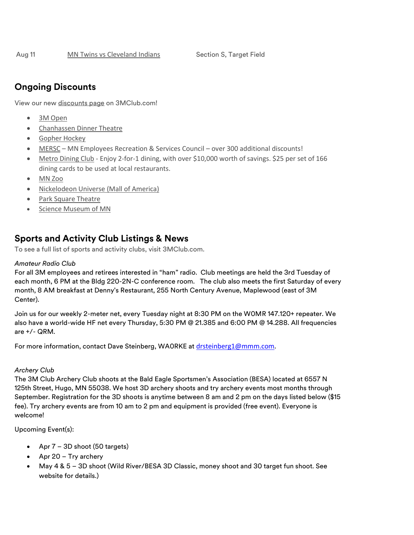# **Ongoing Discounts**

View our new [discounts page](http://3mclub.com/member-only/discounts/) on 3MClub.com!

- [3M Open](http://3mclub.com/files/3915/4628/9798/3M_Open.pdf)
- [Chanhassen Dinner Theatre](http://3mclub.com/files/2414/7198/6276/2016_Chanhassen.pdf)
- [Gopher Hockey](http://3mclub.com/files/9715/4021/4357/Gopher_Hockey.pdf)
- [MERSC](http://3mclub.com/files/8214/6953/6831/MERSC.pdf) MN Employees Recreation & Services Council over 300 additional discounts!
- [Metro Dining Club](http://3mclub.com/files/8915/0600/2705/2017_09_22_Metro_Dining_Club.pdf) Enjoy 2-for-1 dining, with over \$10,000 worth of savings. \$25 per set of 166 dining cards to be used at local restaurants.
- [MN Zoo](http://3mclub.com/files/5015/1845/6239/MN_Zoo.pdf)
- [Nickelodeon Universe](http://3mclub.com/files/9015/2422/7788/Nickelodeon_Universe.pdf) (Mall of America)
- [Park Square Theatre](http://3mclub.com/files/3214/8718/2192/2017_Park_Square_Theatre.pdf)
- [Science Museum of MN](http://3mclub.com/files/2014/7195/9898/2016_Science_Museum.pdf)

# **Sports and Activity Club Listings & News**

To see a full list of sports and activity clubs, visit [3MClub.com.](http://www.3mclub.com/)

# *Amateur Radio Club*

For all 3M employees and retirees interested in "ham" radio. Club meetings are held the 3rd Tuesday of each month, 6 PM at the Bldg 220-2N-C conference room. The club also meets the first Saturday of every month, 8 AM breakfast at Denny's Restaurant, 255 North Century Avenue, Maplewood (east of 3M Center).

Join us for our weekly 2-meter net, every Tuesday night at 8:30 PM on the W0MR 147.120+ repeater. We also have a world-wide HF net every Thursday, 5:30 PM @ 21.385 and 6:00 PM @ 14.288. All frequencies are +/- QRM.

For more information, contact Dave Steinberg, WA0RKE at [drsteinberg1@mmm.com](mailto:drsteinberg1@mmm.com).

# *Archery Club*

The 3M Club Archery Club shoots at the Bald Eagle Sportsmen's Association (BESA) located at 6557 N 125th Street, Hugo, MN 55038. We host 3D archery shoots and try archery events most months through September. Registration for the 3D shoots is anytime between 8 am and 2 pm on the days listed below (\$15 fee). Try archery events are from 10 am to 2 pm and equipment is provided (free event). Everyone is welcome!

# Upcoming Event(s):

- Apr 7 3D shoot (50 targets)
- Apr 20 Try archery
- May 4 & 5 3D shoot (Wild River/BESA 3D Classic, money shoot and 30 target fun shoot. See website for details.)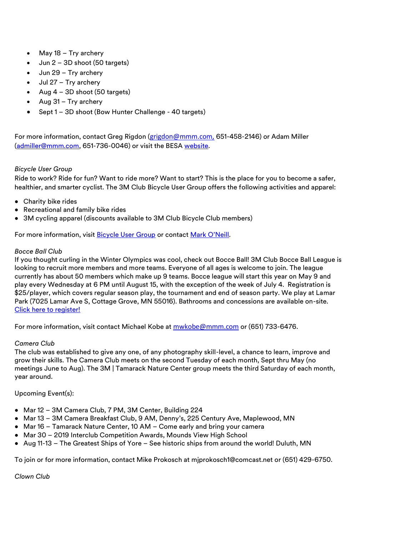- May 18 Try archery
- Jun 2 3D shoot (50 targets)
- Jun 29 Try archery
- Jul 27 Try archery
- Aug  $4 3D$  shoot (50 targets)
- Aug 31 Try archery
- Sept 1 3D shoot (Bow Hunter Challenge 40 targets)

For more information, contact Greg Rigdon (grigdon@mmm.com, 651-458-2146) or Adam Miller [\(admiller@mmm.com,](mailto:admiller@mmm.com) 651-736-0046) or visit the BES[A website.](http://www.besamn.com/archery)

# *Bicycle User Group*

Ride to work? Ride for fun? Want to ride more? Want to start? This is the place for you to become a safer, healthier, and smarter cyclist. The 3M Club Bicycle User Group offers the following activities and apparel:

- Charity bike rides
- Recreational and family bike rides
- 3M cycling apparel (discounts available to 3M Club Bicycle Club members)

For more information, visit **Bicycle User Group** or contact [Mark O'Neill](mailto:mboneill@mmm.com).

## *Bocce Ball Club*

If you thought curling in the Winter Olympics was cool, check out Bocce Ball! 3M Club Bocce Ball League is looking to recruit more members and more teams. Everyone of all ages is welcome to join. The league currently has about 50 members which make up 9 teams. Bocce league will start this year on May 9 and play every Wednesday at 6 PM until August 15, with the exception of the week of July 4. Registration is \$25/player, which covers regular season play, the tournament and end of season party. We play at Lamar Park (7025 Lamar Ave S, Cottage Grove, MN 55016). Bathrooms and concessions are available on-site. [Click here to register!](http://3mclub.com/files/3215/2037/4063/Bocce_Registration_Form_2018_Season.pdf)

For more information, visit contact Michael Kobe at [mwkobe@mmm.com](mailto:mwkobe@mmm.com) or (651) 733-6476.

## *Camera Club*

The club was established to give any one, of any photography skill-level, a chance to learn, improve and grow their skills. The Camera Club meets on the second Tuesday of each month, Sept thru May (no meetings June to Aug). The 3M | Tamarack Nature Center group meets the third Saturday of each month, year around.

## Upcoming Event(s):

- Mar 12 3M Camera Club, 7 PM, 3M Center, Building 224
- Mar 13 3M Camera Breakfast Club, 9 AM, Denny's, 225 Century Ave, Maplewood, MN
- Mar 16 Tamarack Nature Center, 10 AM Come early and bring your camera
- Mar 30 2019 Interclub Competition Awards, Mounds View High School
- Aug 11-13 The Greatest Ships of Yore See historic ships from around the world! Duluth, MN

To join or for more information, contact Mike Prokosch at mjprokosch1@comcast.net or (651) 429-6750.

*Clown Club*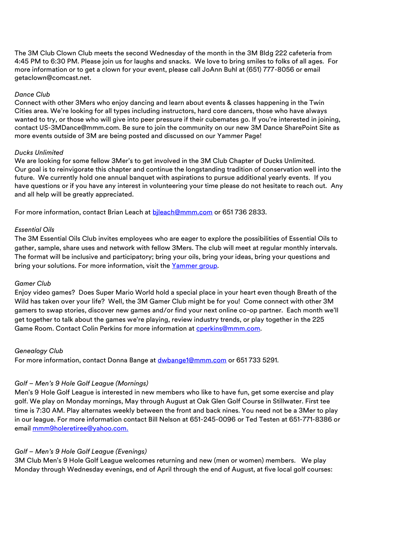The 3M Club Clown Club meets the second Wednesday of the month in the 3M Bldg 222 cafeteria from 4:45 PM to 6:30 PM. Please join us for laughs and snacks. We love to bring smiles to folks of all ages. For more information or to get a clown for your event, please call JoAnn Buhl at (651) 777-8056 or email [getaclown@comcast.net.](mailto:getaclown@comcast.net)

## *Dance Club*

Connect with other 3Mers who enjoy dancing and learn about events & classes happening in the Twin Cities area. We're looking for all types including instructors, hard core dancers, those who have always wanted to try, or those who will give into peer pressure if their cubemates go. If you're interested in joining, contact [US-3MDance@mmm.com.](mailto:US-3MDance@mmm.com) Be sure to join the community on our new [3M Dance SharePoint Site](https://skydrive3m.sharepoint.com/teams/3MDance_comm/SitePages/Community%20Home.aspx) as more events outside of 3M are being posted and discussed on our [Yammer Page!](https://www.yammer.com/mmm.com/#/threads/show?threadId=982366262&messageId=982366262)

# *Ducks Unlimited*

We are looking for some fellow 3Mer's to get involved in the 3M Club Chapter of Ducks Unlimited. Our goal is to reinvigorate this chapter and continue the longstanding tradition of conservation well into the future. We currently hold one annual banquet with aspirations to pursue additional yearly events. If you have questions or if you have any interest in volunteering your time please do not hesitate to reach out. Any and all help will be greatly appreciated.

For more information, contact Brian Leach at bileach@mmm.com or 651 736 2833.

# *Essential Oils*

The 3M Essential Oils Club invites employees who are eager to explore the possibilities of Essential Oils to gather, sample, share uses and network with fellow 3Mers. The club will meet at regular monthly intervals. The format will be inclusive and participatory; bring your oils, bring your ideas, bring your questions and bring your solutions. For more information, visit the Yammer group.

## *Gamer Club*

Enjoy video games? Does Super Mario World hold a special place in your heart even though Breath of the Wild has taken over your life? Well, the 3M Gamer Club might be for you! Come connect with other 3M gamers to swap stories, discover new games and/or find your next online co-op partner. Each month we'll get together to talk about the games we're playing, review industry trends, or play together in the 225 Game Room. Contact Colin Perkins for more information at [cperkins@mmm.com.](mailto:cperkins@mmm.com)

## *Genealogy Club*

For more information, contact Donna Bange at [dwbange1@mmm.com](mailto:dwbange1@mmm.com) or 651 733 5291.

# *Golf – Men's 9 Hole Golf League (Mornings)*

Men's 9 Hole Golf League is interested in new members who like to have fun, get some exercise and play golf. We play on Monday mornings, May through August at Oak Glen Golf Course in Stillwater. First tee time is 7:30 AM. Play alternates weekly between the front and back nines. You need not be a 3Mer to play in our league. For more information contact Bill Nelson at 651-245-0096 or Ted Testen at 651-771-8386 or email [mmm9holeretiree@yahoo.com.](mailto:mmm9holeretiree@yahoo.com)

# *Golf – Men's 9 Hole Golf League (Evenings)*

3M Club Men's 9 Hole Golf League welcomes returning and new (men or women) members. We play Monday through Wednesday evenings, end of April through the end of August, at five local golf courses: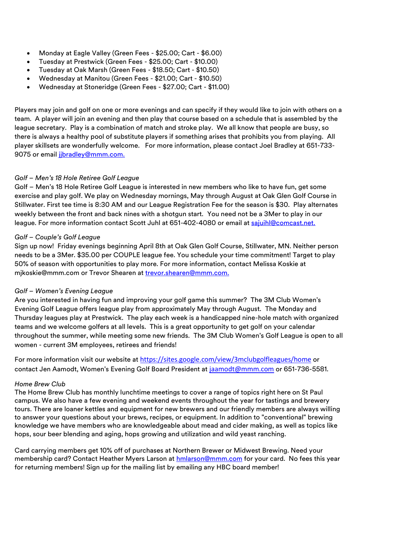- Monday at Eagle Valley (Green Fees \$25.00; Cart \$6.00)
- Tuesday at Prestwick (Green Fees \$25.00; Cart \$10.00)
- Tuesday at Oak Marsh (Green Fees \$18.50; Cart \$10.50)
- Wednesday at Manitou (Green Fees \$21.00; Cart \$10.50)
- Wednesday at Stoneridge (Green Fees \$27.00; Cart \$11.00)

Players may join and golf on one or more evenings and can specify if they would like to join with others on a team. A player will join an evening and then play that course based on a schedule that is assembled by the league secretary. Play is a combination of match and stroke play. We all know that people are busy, so there is always a healthy pool of substitute players if something arises that prohibits you from playing. All player skillsets are wonderfully welcome. For more information, please contact Joel Bradley at 651-733- 9075 or email jibradley@mmm.com.

# *Golf – Men's 18 Hole Retiree Golf League*

Golf – Men's 18 Hole Retiree Golf League is interested in new members who like to have fun, get some exercise and play golf. We play on Wednesday mornings, May through August at Oak Glen Golf Course in Stillwater. First tee time is 8:30 AM and our League Registration Fee for the season is \$30. Play alternates weekly between the front and back nines with a shotgun start. You need not be a 3Mer to play in our league. For more information contact Scott Juhl at 651-402-4080 or email at [sajuihl@comcast.net.](mailto:sajuihl@comcast.net)

# *Golf – Couple's Golf League*

Sign up now! Friday evenings beginning April 8th at Oak Glen Golf Course, Stillwater, MN. Neither person needs to be a 3Mer. \$35.00 per COUPLE league fee. You schedule your time commitment! Target to play 50% of season with opportunities to play more. For more information, contact Melissa Koskie at [mjkoskie@mmm.com](mailto:mjkoskie@mmm.com) or Trevor Shearen at [trevor.shearen@mmm.com.](mailto:trevor.shearen@mmm.com)

# *Golf – Women's Evening League*

Are you interested in having fun and improving your golf game this summer? The 3M Club Women's Evening Golf League offers league play from approximately May through August. The Monday and Thursday leagues play at Prestwick. The play each week is a handicapped nine-hole match with organized teams and we welcome golfers at all levels. This is a great opportunity to get golf on your calendar throughout the summer, while meeting some new friends. The 3M Club Women's Golf League is open to all women - current 3M employees, retirees and friends!

For more information visit our website at <https://sites.google.com/view/3mclubgolfleagues/home> or contact Jen Aamodt, Women's Evening Golf Board President at [jaamodt@mmm.com](mailto:jaamodt@mmm.com) or 651-736-5581.

## *Home Brew Club*

The Home Brew Club has monthly lunchtime meetings to cover a range of topics right here on St Paul campus. We also have a few evening and weekend events throughout the year for tastings and brewery tours. There are loaner kettles and equipment for new brewers and our friendly members are always willing to answer your questions about your brews, recipes, or equipment. In addition to "conventional" brewing knowledge we have members who are knowledgeable about mead and cider making, as well as topics like hops, sour beer blending and aging, hops growing and utilization and wild yeast ranching.

Card carrying members get 10% off of purchases at Northern Brewer or Midwest Brewing. Need your membership card? Contact Heather Myers Larson at **hmlarson@mmm.com** for your card. No fees this year for returning members! Sign up for the mailing list by emailing any HBC board member!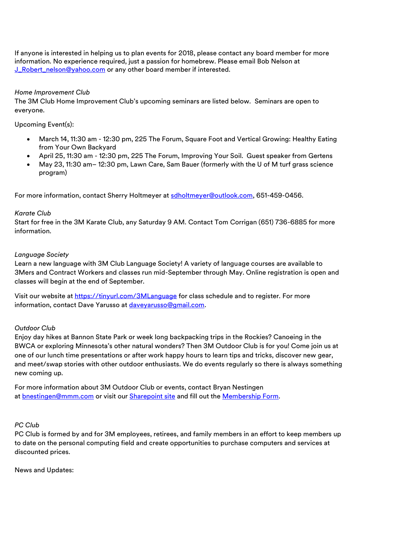If anyone is interested in helping us to plan events for 2018, please contact any board member for more information. No experience required, just a passion for homebrew. Please email Bob Nelson at [J\\_Robert\\_nelson@yahoo.com](mailto:J_Robert_nelson@yahoo.com) or any other board member if interested.

# *Home Improvement Club*

The 3M Club Home Improvement Club's upcoming seminars are listed below. Seminars are open to everyone.

# Upcoming Event(s):

- March 14, 11:30 am 12:30 pm, 225 The Forum, Square Foot and Vertical Growing: Healthy Eating from Your Own Backyard
- April 25, 11:30 am 12:30 pm, 225 The Forum, Improving Your Soil. Guest speaker from Gertens
- May 23, 11:30 am– 12:30 pm, Lawn Care, Sam Bauer (formerly with the U of M turf grass science program)

For more information, contact Sherry Holtmeyer at [sdholtmeyer@outlook.com,](mailto:sdholtmeyer@outlook.com) 651-459-0456.

# *Karate Club*

Start for free in the 3M Karate Club, any Saturday 9 AM. Contact Tom Corrigan (651) 736-6885 for more information.

# *Language Society*

Learn a new language with 3M Club Language Society! A variety of language courses are available to 3Mers and Contract Workers and classes run mid-September through May. Online registration is open and classes will begin at the end of September.

Visit our website at <https://tinyurl.com/3MLanguage> for class schedule and to register. For more information, contact Dave Yarusso at [daveyarusso@gmail.com.](mailto:daveyarusso@gmail.com)

# *Outdoor Club*

Enjoy day hikes at Bannon State Park or week long backpacking trips in the Rockies? Canoeing in the BWCA or exploring Minnesota's other natural wonders? Then 3M Outdoor Club is for you! Come join us at one of our lunch time presentations or after work happy hours to learn tips and tricks, discover new gear, and meet/swap stories with other outdoor enthusiasts. We do events regularly so there is always something new coming up.

For more information about 3M Outdoor Club or events, contact Bryan Nestingen at [bnestingen@mmm.com](mailto:bnestingen@mmm.com) or visit our [Sharepoint site](https://skydrive3m.sharepoint.com/teams/3moutdoorclub) and fill out the [Membership Form.](https://forms.office.com/Pages/ResponsePage.aspx?id=xMPK-qXiV0KvdiBcioId2-PgNSnCf6BHuuAmBl7zF95UM1JNS0FNMzdXNUlERFNBQ0U1OFBZRjU1SyQlQCN0PWcu)

# *PC Club*

PC Club is formed by and for 3M employees, retirees, and family members in an effort to keep members up to date on the personal computing field and create opportunities to purchase computers and services at discounted prices.

News and Updates: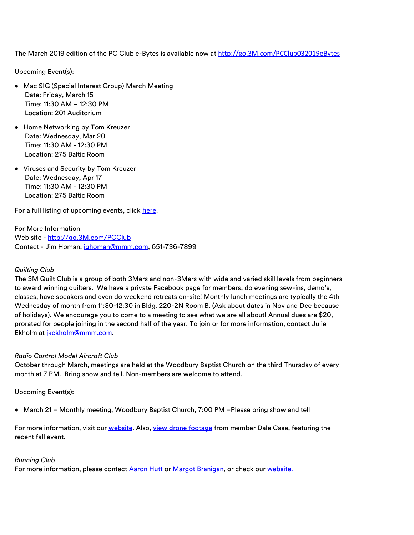The March 2019 edition of the PC Club e-Bytes is available now at [http://go.3M.com/PCClub032019eBytes](http://go.3m.com/PCClub032019eBytes)

Upcoming Event(s):

- Mac SIG (Special Interest Group) March Meeting Date: Friday, March 15 Time: 11:30 AM – 12:30 PM Location: 201 Auditorium
- Home Networking by Tom Kreuzer Date: Wednesday, Mar 20 Time: 11:30 AM - 12:30 PM Location: 275 Baltic Room
- Viruses and Security by Tom Kreuzer Date: Wednesday, Apr 17 Time: 11:30 AM - 12:30 PM Location: 275 Baltic Room

For a full listing of upcoming events, click h[ere.](https://sites.google.com/site/theminingpcc/future-meetings)

For More Information Web site - [http://go.3M.com/PCClub](http://go.3m.com/PCClub) Contact - Jim Homan, [jghoman@mmm.com,](mailto:jghoman@mmm.com) 651-736-7899

# *Quilting Club*

The 3M Quilt Club is a group of both 3Mers and non-3Mers with wide and varied skill levels from beginners to award winning quilters. We have a private Facebook page for members, do evening sew-ins, demo's, classes, have speakers and even do weekend retreats on-site! Monthly lunch meetings are typically the 4th Wednesday of month from 11:30-12:30 in Bldg. 220-2N Room B. (Ask about dates in Nov and Dec because of holidays). We encourage you to come to a meeting to see what we are all about! Annual dues are \$20, prorated for people joining in the second half of the year. To join or for more information, contact [Julie](mailto:vlsmith1@mmm.com) Ekholm at [jkekholm@mmm.com.](mailto:jkekholm@mmm.com)

# *Radio Control Model Aircraft Club*

October through March, meetings are held at the Woodbury Baptist Church on the third Thursday of every month at 7 PM. Bring show and tell. Non-members are welcome to attend.

Upcoming Event(s):

• March 21 – Monthly meeting, Woodbury Baptist Church, 7:00 PM –Please bring show and tell

For more information, visit our [website.](http://3mclubrcflyers.org/) Also, [view drone footage](https://youtu.be/oi5U_O4zgGk) from member Dale Case, featuring the recent fall event.

# *Running Club*

For more information, please contact [Aaron Hutt](mailto:ahutt@mmm.com) or [Margot Branigan,](mailto:mabranigan@mmm.com) or check our [website.](https://skydrive3m.sharepoint.com/sites/EmpInt/runclub/SitePages/Home.aspx)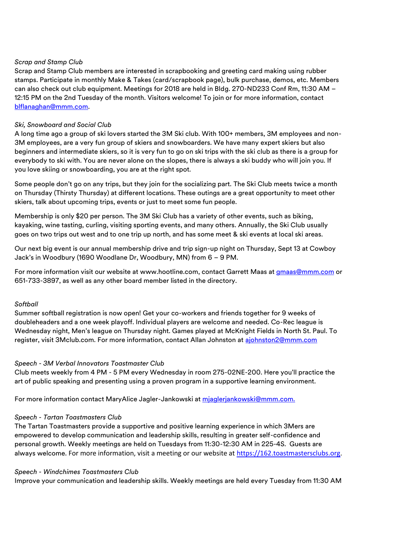# *Scrap and Stamp Club*

Scrap and Stamp Club members are interested in scrapbooking and greeting card making using rubber stamps. Participate in monthly Make & Takes (card/scrapbook page), bulk purchase, demos, etc. Members can also check out club equipment. Meetings for 2018 are held in Bldg. 270-ND233 Conf Rm, 11:30 AM – 12:15 PM on the 2nd Tuesday of the month. Visitors welcome! To join or for more information, contact [blflanaghan@mmm.com.](mailto:blflanaghan@mmm.com)

# *Ski, Snowboard and Social Club*

A long time ago a group of ski lovers started the 3M Ski club. With 100+ members, 3M employees and non-3M employees, are a very fun group of skiers and snowboarders. We have many expert skiers but also beginners and intermediate skiers, so it is very fun to go on ski trips with the ski club as there is a group for everybody to ski with. You are never alone on the slopes, there is always a ski buddy who will join you. If you love skiing or snowboarding, you are at the right spot.

Some people don't go on any trips, but they join for the socializing part. The Ski Club meets twice a month on Thursday (Thirsty Thursday) at different locations. These outings are a great opportunity to meet other skiers, talk about upcoming trips, events or just to meet some fun people.

Membership is only \$20 per person. The 3M Ski Club has a variety of other events, such as biking, kayaking, wine tasting, curling, visiting sporting events, and many others. Annually, the Ski Club usually goes on two trips out west and to one trip up north, and has some meet & ski events at local ski areas.

Our next big event is our annual membership drive and trip sign-up night on Thursday, Sept 13 at Cowboy Jack's in Woodbury (1690 Woodlane Dr, Woodbury, MN) from 6 – 9 PM.

For more information visit our website at [www.hootline.com,](http://www.hootline.com/) contact Garrett Maas a[t gmaas@mmm.com](mailto:gmaas@mmm.com) or 651-733-3897, as well as any other board member listed in the directory.

## *Softball*

Summer softball registration is now open! Get your co-workers and friends together for 9 weeks of doubleheaders and a one week playoff. Individual players are welcome and needed. Co-Rec league is Wednesday night, Men's league on Thursday night. Games played at McKnight Fields in North St. Paul. To register, visit 3Mclub.com. For more information, contact Allan Johnston at [ajohnston2@mmm.com](mailto:ajohnston2@mmm.com)

## *Speech - 3M Verbal Innovators Toastmaster Club*

Club meets weekly from 4 PM - 5 PM every Wednesday in room 275-02NE-200. Here you'll practice the art of public speaking and presenting using a proven program in a supportive learning environment.

For more information contact MaryAlice Jagler-Jankowski at [mjaglerjankowski@mmm.com.](mailto:mjaglerjankowski@mmm.com)

## *Speech - Tartan Toastmasters Club*

The Tartan Toastmasters provide a supportive and positive learning experience in which 3Mers are empowered to develop communication and leadership skills, resulting in greater self-confidence and personal growth. Weekly meetings are held on Tuesdays from 11:30-12:30 AM in 225-4S. Guests are always welcome. For more information, visit a meeting or our website at [https://162.toastmastersclubs.org.](https://162.toastmastersclubs.org/)

## *Speech - Windchimes Toastmasters Club*

Improve your communication and leadership skills. Weekly meetings are held every Tuesday from 11:30 AM